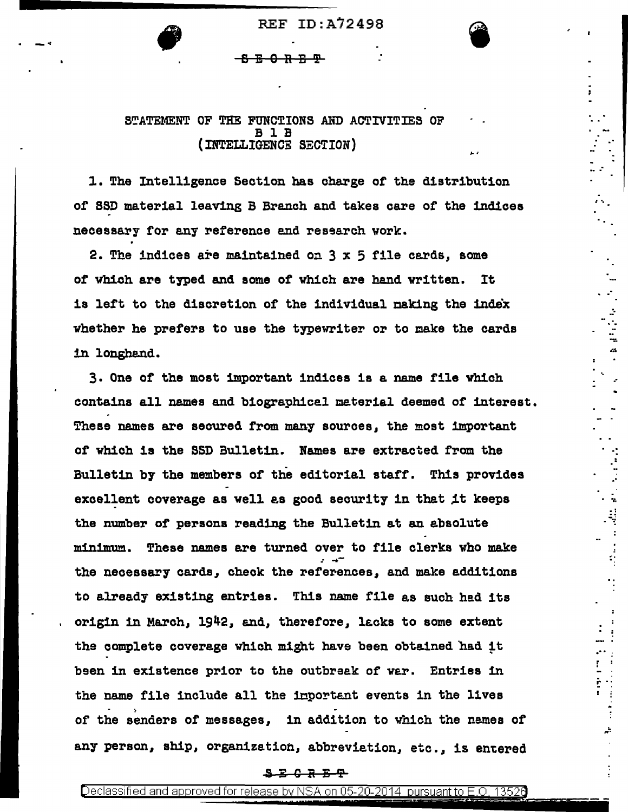REF ID:A72498

<del>ሪያ መሆን መሆን</del>

 $\bullet$  .

## STATEMENT OF THE FUNCTIONS AND ACTIVITIES OF B 1 B (INTELLIGENCE SECTION)

l. The Intelligence Section has charge or the distribution or SSD material leaving B Branch and takes care or the indices necessary for any reference and research work.

2. The indices are maintained on  $3 \times 5$  file cards, some of which are typed and some of which are hand written. It is left to the discretion of the individual making the index whether he prefers to use the typewriter or to make the cards in longhand.

.·

īл.

. : .• . ·.·.

. ·.·

ή.

.·. . : : .... I

~ ....

3. One or the most important indices is a name file vhich contains all names and biographical material deemed of interest. These names are secured from many sources, the most important of which is the SSD Bulletin. Names are extracted from the Bulletin by the members of the editorial staff. This provides excellent coverage as well as good security in that it keeps the number of persons reading the Bulletin at an absolute minimum. These names are turned over to file clerks who make the necessary cards, check the references, and make additions to already existing entries. This name file as such had its origin in March, 1942, and, therefore, lacks to some extent the complete coverage which might have been obtained had it been in existence prior to the outbreak of var. Entries 1n the name file include all the important events in the lives > or the senders or messages, 1n addition to vh1ch the names or any person, ship, organization, abbreviation, etc., is entered

## <del>S Z C R Z T</del>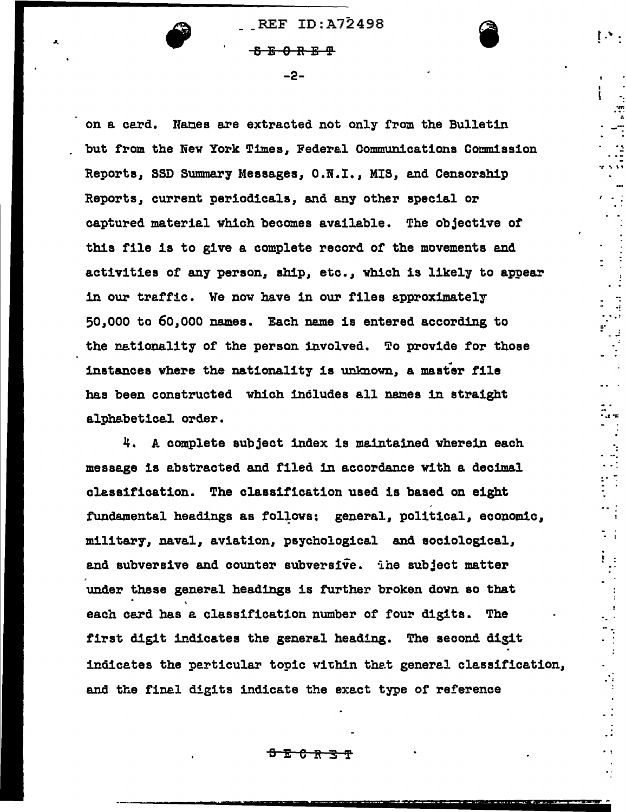**REF ID:A72498 BBORBT** 

 $-2-$ 

on a card. Names are extracted not only from the Bulletin but from the New York Times, Federal Communications Commission Reports, SSD Summary Messages, O.N.I., MIS, and Censorship Reports, current periodicals, and any other special or captured material which becomes available. The objective of this file is to give a complete record of the movements and activities of any person, ship, etc., which is likely to appear in our traffic. We now have in our files approximately 50,000 to 60,000 names. Each name is entered according to the nationality of the person involved. To provide for those instances where the nationality is unknown, a master file has been constructed which includes all names in straight alphabetical order.

 $\begin{array}{c} 1 \\ 1 \\ 2 \\ 3 \end{array}$ 

 $\frac{1}{2}$ 

 $\mathcal{L}_{\mathcal{A}}$ 

 $\mathcal{L}^{\pm}$ 

4. A complete subject index is maintained wherein each message is abstracted and filed in accordance with a decimal classification. The classification used is based on eight fundamental headings as follows: general, political, economic, military, naval, aviation, psychological and sociological, and subversive and counter subversive. The subject matter under these general headings is further broken down so that each card has a classification number of four digits. The first digit indicates the general heading. The second digit indicates the particular topic within that general classification, and the final digits indicate the exact type of reference

<del>ያደርገ</del>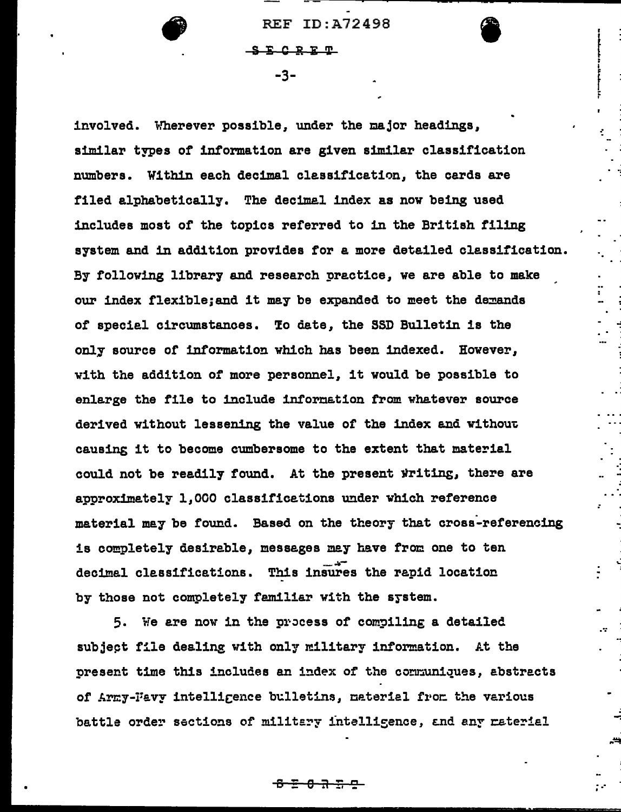**REF ID:A72498** 

 $S E C R F T$ 

 $-3-$ 

involved. Wherever possible, under the major headings, similar types of information are given similar classification numbers. Within each decimal classification, the cards are filed alphabetically. The decimal index as now being used includes most of the topics referred to in the British filing system and in addition provides for a more detailed classification. By following library and research practice, we are able to make our index flexible; and it may be expanded to meet the demands of special circumstances. To date, the SSD Bulletin is the only source of information which has been indexed. However, with the addition of more personnel, it would be possible to enlarge the file to include information from whatever source derived without lessening the value of the index and without causing it to become cumbersome to the extent that material could not be readily found. At the present writing, there are approximately 1,000 classifications under which reference material may be found. Based on the theory that cross-referencing is completely desirable, messages may have from one to ten decimal classifications. This insures the rapid location by those not completely familiar with the system.

5. We are now in the process of compiling a detailed subject file dealing with only military information. At the present time this includes an index of the communiques, abstracts of Army-Favy intelligence bulletins, material from the various battle order sections of military intelligence, and any material

<del>፤ 8 7 7 2</del>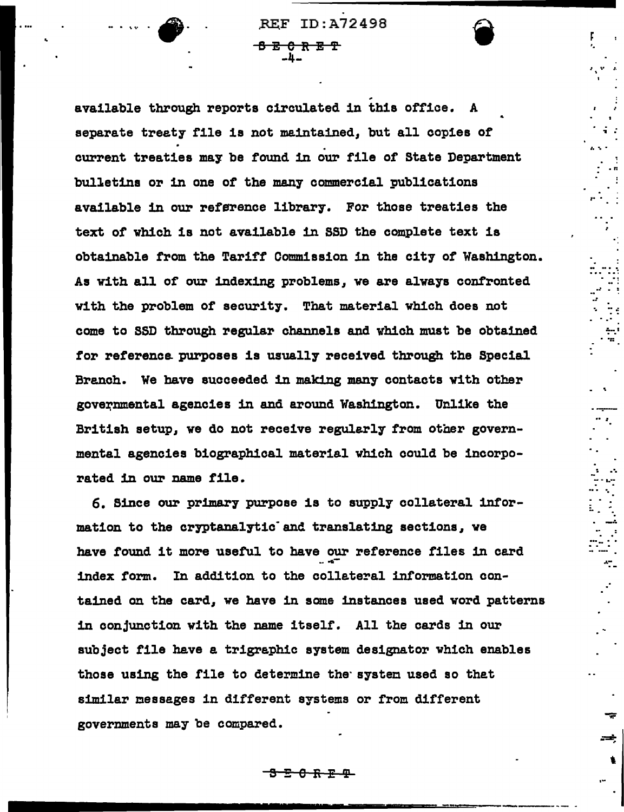**REF ID: A72498** <del>ይጀር ጽይዋ</del>

available through reports circulated in this office. A separate treaty file is not maintained, but all copies of current treaties may be found in our file of State Department bulletins or in one of the many commercial publications available in our reference library. For those treaties the text of which is not available in SSD the complete text is obtainable from the Tariff Commission in the city of Washington. As with all of our indexing problems, we are always confronted with the problem of security. That material which does not come to SSD through regular channels and which must be obtained for reference purposes is usually received through the Special Branch. We have succeeded in making many contacts with other governmental agencies in and around Washington. Unlike the British setup, we do not receive regularly from other governmental agencies biographical material which could be incorporated in our name file.

6. Since our primary purpose is to supply collateral information to the cryptanalytic and translating sections, we have found it more useful to have our reference files in card index form. In addition to the collateral information contained on the card, we have in some instances used word patterns in conjunction with the name itself. All the cards in our subject file have a trigraphic system designator which enables those using the file to determine the system used so thet similar messages in different systems or from different governments may be compared.

<del>8 R P P</del>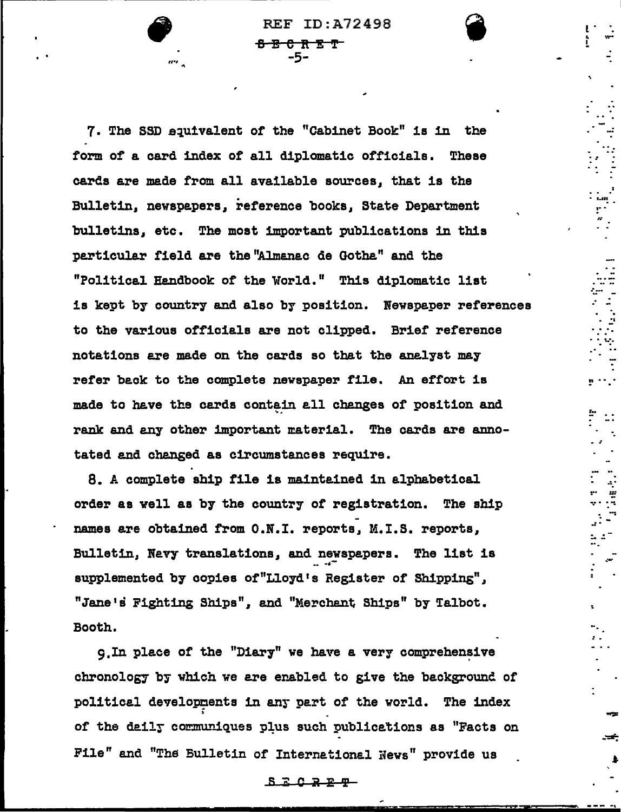**REF ID: A72498** <del>8 ጀ ሮ R ጀ </del>ም -5-

7. The SSD equivalent of the "Cabinet Book" is in the form of a card index of all diplomatic officials. These cards are made from all available sources, that is the Bulletin, newspapers, reference books, State Department bulletins, etc. The most important publications in this particular field are the "Almanac de Gotha" and the "Political Handbook of the World." This diplomatic list is kept by country and also by position. Newspaper references to the various officials are not clipped. Brief reference notations are made on the cards so that the analyst may refer back to the complete newspaper file. An effort is made to have the cards contain all changes of position and rank and any other important material. The cards are annotated and changed as circumstances require.

8. A complete ship file is maintained in alphabetical order as well as by the country of registration. The ship names are obtained from O.N.I. reports, M.I.S. reports, Bulletin, Nevy translations, and newspapers. The list is supplemented by copies of "Lloyd's Register of Shipping", "Jane's Fighting Ships", and "Merchant Ships" by Talbot. Booth.

q. In place of the "Diary" we have a very comprehensive chronology by which we are enabled to give the background of political developments in any part of the world. The index of the daily communiques plus such publications as "Facts on File" and "The Bulletin of International News" provide us

 $S$   $E$   $C$   $R$   $E$   $T$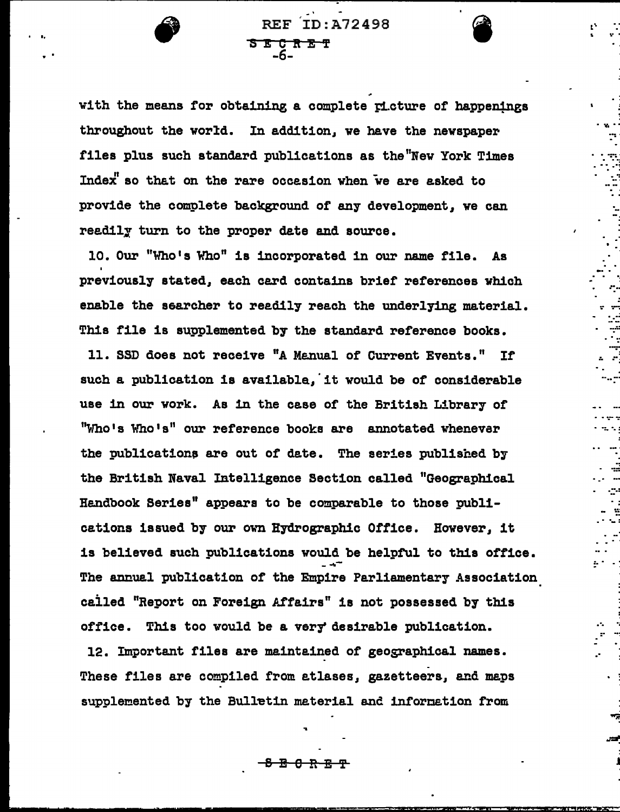with the means for obtaining a complete picture of happenings throughout the world. In addition, we have the newspaper files plus such standard publications as the New York Times Index" so that on the rare occasion when we are asked to provide the complete background of any development, we can readily turn to the proper date and source.

**SECRET**<br>-6-

**REF ID: A72498** 

10. Our "Who's Who" is incorporated in our name file. As previously stated, each card contains brief references which enable the searcher to readily reach the underlying material. This file is supplemented by the standard reference books.

11. SSD does not receive "A Manual of Current Events." If such a publication is available, it would be of considerable use in our work. As in the case of the British Library of "Who's Who's" our reference books are annotated whenever the publications are out of date. The series published by the British Naval Intelligence Section called "Geographical Handbook Series" appears to be comparable to those publications issued by our own Hydrographic Office. However, it is believed such publications would be helpful to this office. The annual publication of the Empire Parliamentary Association called "Report on Foreign Affairs" is not possessed by this office. This too would be a very desirable publication.

12. Important files are maintained of geographical names. These files are compiled from atlases, gazetteers, and maps supplemented by the Bulletin material and information from

<del>0 R</del>